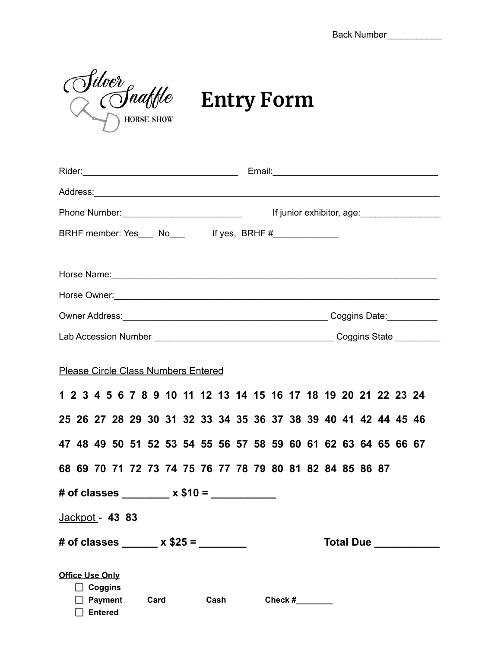Back Number\_\_\_\_\_\_\_\_\_\_\_\_\_

Silver<br> **Entry Form** 

| Phone Number: 2008                                                                                  |                                                                                                                                                                                                                                |
|-----------------------------------------------------------------------------------------------------|--------------------------------------------------------------------------------------------------------------------------------------------------------------------------------------------------------------------------------|
| BRHF member: Yes___ No___ lf yes, BRHF #____________                                                |                                                                                                                                                                                                                                |
|                                                                                                     |                                                                                                                                                                                                                                |
|                                                                                                     | Horse Name: 1988 Contract to the Marian Contract of the Marian Contract of the Marian Contract of the Marian Contract of the Marian Contract of the Marian Contract of the Marian Contract of the Marian Contract of the Maria |
|                                                                                                     |                                                                                                                                                                                                                                |
|                                                                                                     |                                                                                                                                                                                                                                |
|                                                                                                     |                                                                                                                                                                                                                                |
| <b>Please Circle Class Numbers Entered</b>                                                          |                                                                                                                                                                                                                                |
| 1 2 3 4 5 6 7 8 9 10 11 12 13 14 15 16 17 18 19 20 21 22 23 24                                      |                                                                                                                                                                                                                                |
| 25 26 27 28 29 30 31 32 33 34 35 36 37 38 39 40 41 42 44 45 46                                      |                                                                                                                                                                                                                                |
| 47 48 49 50 51 52 53 54 55 56 57 58 59 60 61 62 63 64 65 66 67                                      |                                                                                                                                                                                                                                |
| 68 69 70 71 72 73 74 75 76 77 78 79 80 81 82 84 85 86 87                                            |                                                                                                                                                                                                                                |
| # of classes $x$ \$10 = $x$                                                                         |                                                                                                                                                                                                                                |
| Jackpot - 43 83                                                                                     |                                                                                                                                                                                                                                |
| # of classes $x $25 =$                                                                              | Total Due __________                                                                                                                                                                                                           |
| <b>Office Use Only</b><br><b>Coggins</b><br>II.<br><b>Payment</b><br>Card<br>Cash<br><b>Entered</b> | Check $#$                                                                                                                                                                                                                      |